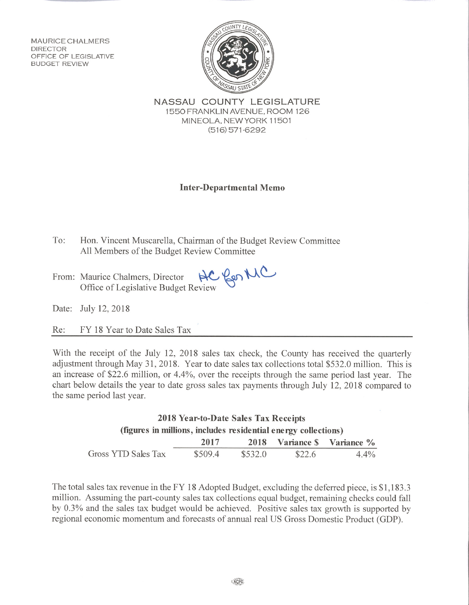**MAURICE CHALMERS DIRECTOR** OFFICE OF LEGISLATIVE **BUDGET REVIEW** 



NASSAU COUNTY LEGISLATURE 1550 FRANKLIN AVENUE, ROOM 126 MINEOLA, NEW YORK 11501  $(516)$  571-6292

## **Inter-Departmental Memo**

- To: Hon. Vincent Muscarella, Chairman of the Budget Review Committee All Members of the Budget Review Committee
- Office of Legislative Budget Review From: Maurice Chalmers, Director

Date: July 12, 2018

Re: FY 18 Year to Date Sales Tax

With the receipt of the July 12, 2018 sales tax check, the County has received the quarterly adjustment through May 31, 2018. Year to date sales tax collections total \$532.0 million. This is an increase of \$22.6 million, or 4.4%, over the receipts through the same period last year. The chart below details the year to date gross sales tax payments through July 12, 2018 compared to the same period last year.

| 2018 Year-to-Date Sales Tax Receipts<br>(figures in millions, includes residential energy collections) |         |         |        |         |  |
|--------------------------------------------------------------------------------------------------------|---------|---------|--------|---------|--|
|                                                                                                        |         |         |        |         |  |
| Gross YTD Sales Tax                                                                                    | \$509.4 | \$532.0 | \$22.6 | $4.4\%$ |  |

The total sales tax revenue in the FY 18 Adopted Budget, excluding the deferred piece, is \$1,183.3 million. Assuming the part-county sales tax collections equal budget, remaining checks could fall by 0.3% and the sales tax budget would be achieved. Positive sales tax growth is supported by regional economic momentum and forecasts of annual real US Gross Domestic Product (GDP).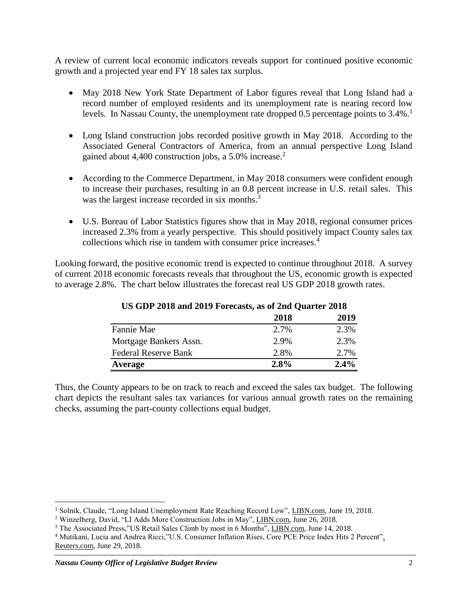A review of current local economic indicators reveals support for continued positive economic growth and a projected year end FY 18 sales tax surplus.

- May 2018 New York State Department of Labor figures reveal that Long Island had a record number of employed residents and its unemployment rate is nearing record low levels. In Nassau County, the unemployment rate dropped 0.5 percentage points to  $3.4\%$ .<sup>1</sup>
- Long Island construction jobs recorded positive growth in May 2018. According to the Associated General Contractors of America, from an annual perspective Long Island gained about 4,400 construction jobs, a  $5.0\%$  increase.<sup>2</sup>
- According to the Commerce Department, in May 2018 consumers were confident enough to increase their purchases, resulting in an 0.8 percent increase in U.S. retail sales. This was the largest increase recorded in six months.<sup>3</sup>
- U.S. Bureau of Labor Statistics figures show that in May 2018, regional consumer prices increased 2.3% from a yearly perspective. This should positively impact County sales tax collections which rise in tandem with consumer price increases.<sup>4</sup>

Looking forward, the positive economic trend is expected to continue throughout 2018. A survey of current 2018 economic forecasts reveals that throughout the US, economic growth is expected to average 2.8%. The chart below illustrates the forecast real US GDP 2018 growth rates.

|                             | 2018 | 2019 |
|-----------------------------|------|------|
| Fannie Mae                  | 2.7% | 2.3% |
| Mortgage Bankers Assn.      | 2.9% | 2.3% |
| <b>Federal Reserve Bank</b> | 2.8% | 2.7% |
| Average                     | 2.8% | 2.4% |

## **US GDP 2018 and 2019 Forecasts, as of 2nd Quarter 2018**

Thus, the County appears to be on track to reach and exceed the sales tax budget. The following chart depicts the resultant sales tax variances for various annual growth rates on the remaining checks, assuming the part-county collections equal budget.

 $\overline{a}$ 

<sup>&</sup>lt;sup>1</sup> Solnik, Claude, "Long Island Unemployment Rate Reaching Record Low", LIBN.com, June 19, 2018.

<sup>&</sup>lt;sup>2</sup> Winzelberg, David, "LI Adds More Construction Jobs in May", LIBN.com, June 26, 2018.

<sup>&</sup>lt;sup>3</sup> The Associated Press,"US Retail Sales Climb by most in 6 Months", LIBN.com, June 14, 2018.

<sup>4</sup> Mutikani, Lucia and Andrea Ricci,"U.S. Consumer Inflation Rises, Core PCE Price Index Hits 2 Percent", Reuters.com, June 29, 2018.